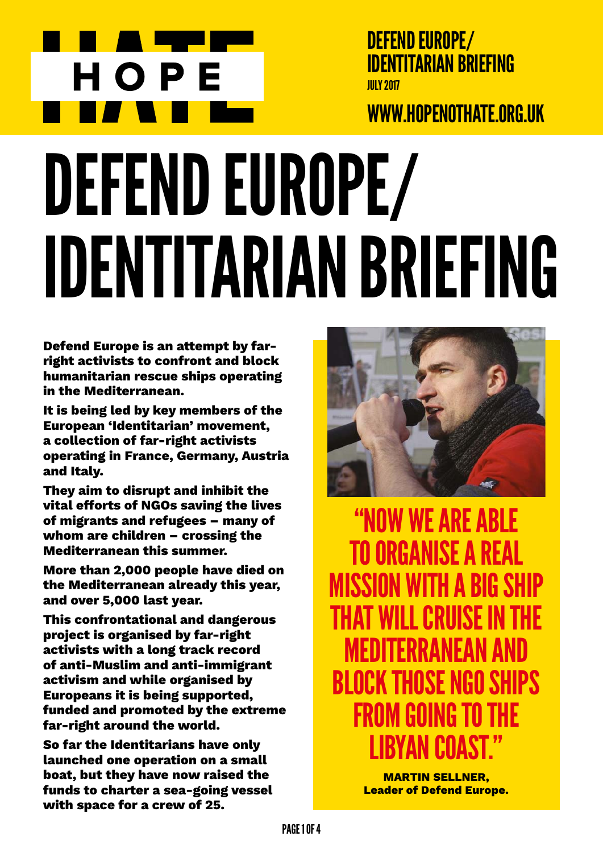

DEFEND EUROPE/ Identitarian Briefing July 2017

## www.hopenothate.org.uk

# DEFEND EUROPE/ Identitarian Briefing

**Defend Europe is an attempt by farright activists to confront and block humanitarian rescue ships operating in the Mediterranean.**

**It is being led by key members of the European 'Identitarian' movement, a collection of far-right activists operating in France, Germany, Austria and Italy.**

**They aim to disrupt and inhibit the vital efforts of NGOs saving the lives of migrants and refugees – many of whom are children – crossing the Mediterranean this summer.**

**More than 2,000 people have died on the Mediterranean already this year, and over 5,000 last year.**

**This confrontational and dangerous project is organised by far-right activists with a long track record of anti-Muslim and anti-immigrant activism and while organised by Europeans it is being supported, funded and promoted by the extreme far-right around the world.** 

**So far the Identitarians have only launched one operation on a small boat, but they have now raised the funds to charter a sea-going vessel with space for a crew of 25.** 



"Now we are able to organise a real mission with a big ship that will cruise in the FDITFRRANFAN A block those NGO ships from going to the N L'IIANT '

> **Martin Sellner, Leader of Defend Europe.**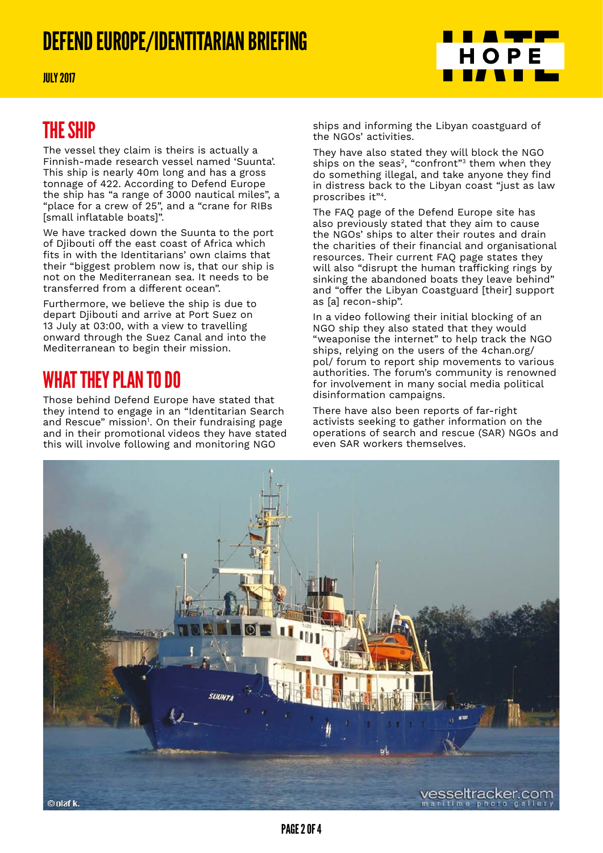## DEFEND EUROPE/IDENTITARIAN BRIEFING



#### The ship

The vessel they claim is theirs is actually a Finnish-made research vessel named 'Suunta'. This ship is nearly 40m long and has a gross tonnage of 422. According to Defend Europe the ship has "a range of 3000 nautical miles", a "place for a crew of 25", and a "crane for RIBs [small inflatable boats]".

We have tracked down the Suunta to the port of Djibouti off the east coast of Africa which fits in with the Identitarians' own claims that their "biggest problem now is, that our ship is not on the Mediterranean sea. It needs to be transferred from a different ocean".

Furthermore, we believe the ship is due to depart Djibouti and arrive at Port Suez on 13 July at 03:00, with a view to travelling onward through the Suez Canal and into the Mediterranean to begin their mission.

## WHAT THEY PLAN TO DO

Those behind Defend Europe have stated that they intend to engage in an "Identitarian Search and Rescue" mission<sup>1</sup>. On their fundraising page and in their promotional videos they have stated this will involve following and monitoring NGO



<u> a shekara ta 1999, ka</u> HOPE

THE STATE OF STREET

They have also stated they will block the NGO ships on the seas<sup>2</sup>, "confront"<sup>3</sup> them when they do something illegal, and take anyone they find in distress back to the Libyan coast "just as law proscribes it"4.

The FAQ page of the Defend Europe site has also previously stated that they aim to cause the NGOs' ships to alter their routes and drain the charities of their financial and organisational resources. Their current FAQ page states they will also "disrupt the human trafficking rings by sinking the abandoned boats they leave behind" and "offer the Libyan Coastguard [their] support as [a] recon-ship".

In a video following their initial blocking of an NGO ship they also stated that they would "weaponise the internet" to help track the NGO ships, relying on the users of the 4chan.org/ pol/ forum to report ship movements to various authorities. The forum's community is renowned for involvement in many social media political disinformation campaigns.

There have also been reports of far-right activists seeking to gather information on the operations of search and rescue (SAR) NGOs and even SAR workers themselves.

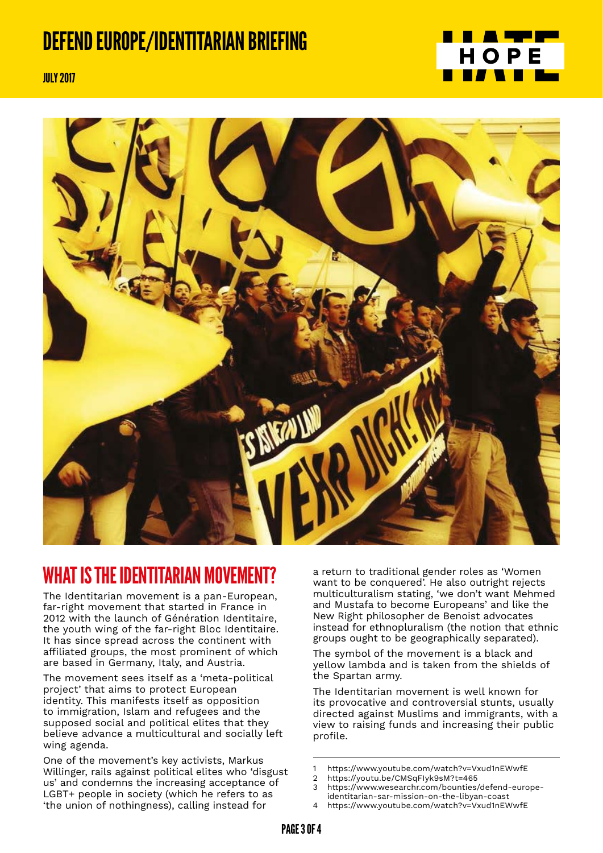## DEFEND EUROPE/IDENTITARIAN BRIEFING



July 2017



#### WHAT IS THE IDENTITARIAN MOVEMENT?

The Identitarian movement is a pan-European, far-right movement that started in France in 2012 with the launch of Génération Identitaire, the youth wing of the far-right Bloc Identitaire. It has since spread across the continent with affiliated groups, the most prominent of which are based in Germany, Italy, and Austria.

The movement sees itself as a 'meta-political project' that aims to protect European identity. This manifests itself as opposition to immigration, Islam and refugees and the supposed social and political elites that they believe advance a multicultural and socially left wing agenda.

One of the movement's key activists, Markus Willinger, rails against political elites who 'disgust us' and condemns the increasing acceptance of LGBT+ people in society (which he refers to as 'the union of nothingness), calling instead for

a return to traditional gender roles as 'Women want to be conquered'. He also outright rejects multiculturalism stating, 'we don't want Mehmed and Mustafa to become Europeans' and like the New Right philosopher de Benoist advocates instead for ethnopluralism (the notion that ethnic groups ought to be geographically separated).

The symbol of the movement is a black and yellow lambda and is taken from the shields of the Spartan army.

The Identitarian movement is well known for its provocative and controversial stunts, usually directed against Muslims and immigrants, with a view to raising funds and increasing their public profile.

1 https://www.youtube.com/watch?v=Vxud1nEWwfE

- 3 https://www.wesearchr.com/bounties/defend-europeidentitarian-sar-mission-on-the-libyan-coast
- https://www.youtube.com/watch?v=Vxud1nEWwfE

<sup>2</sup> https://youtu.be/CMSqFIyk9sM?t=465